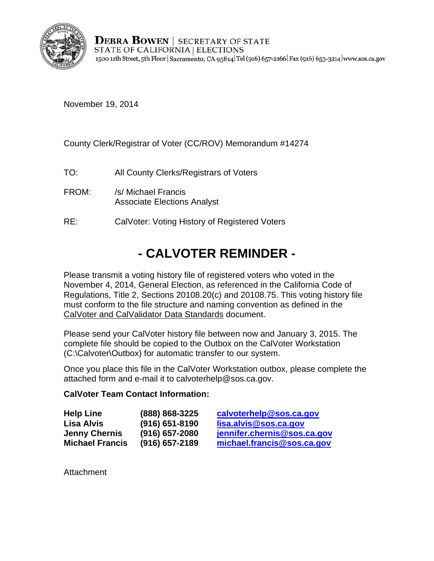

**DEBRA BOWEN** SECRETARY OF STATE STATE OF CALIFORNIA | ELECTIONS 1500 11th Street, 5th Floor | Sacramento, CA 95814 Tel (916) 657-2166 | Fax (916) 653-3214 | www.sos.ca.gov

November 19, 2014

County Clerk/Registrar of Voter (CC/ROV) Memorandum #14274

TO: All County Clerks/Registrars of Voters

- FROM: /s/ Michael Francis Associate Elections Analyst
- RE: CalVoter: Voting History of Registered Voters

## **- CALVOTER REMINDER -**

Please transmit a voting history file of registered voters who voted in the November 4, 2014, General Election, as referenced in the California Code of Regulations, Title 2, Sections 20108.20(c) and 20108.75. This voting history file must conform to the file structure and naming convention as defined in the CalVoter and CalValidator Data Standards document.

Please send your CalVoter history file between now and January 3, 2015. The complete file should be copied to the Outbox on the CalVoter Workstation (C:\Calvoter\Outbox) for automatic transfer to our system.

Once you place this file in the CalVoter Workstation outbox, please complete the attached form and e-mail it to calvoterhelp@sos.ca.gov.

## **CalVoter Team Contact Information:**

| (888) 868-3225     | calvoterhelp@   |
|--------------------|-----------------|
| $(916) 651 - 8190$ | lisa.alvis@sos  |
| $(916)$ 657-2080   | jennifer.cherni |
| $(916)$ 657-2189   | michael.franci  |
|                    |                 |

**ISOS.ca.gov Lisa Alvis (916) 651-8190 [lisa.alvis@sos.ca.gov](mailto:lisa.alvis@sos.ca.gov)**  $s@sos.ca.gov$ **Michael Francis (916) 657-2189 [michael.francis@sos.ca.gov](mailto:michael.francis@sos.ca.gov)** 

**Attachment**